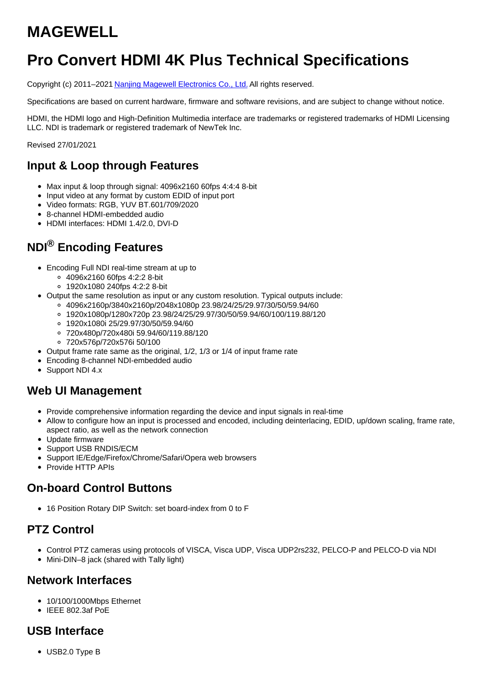# **MAGEWELL**

# **Pro Convert HDMI 4K Plus Technical Specifications**

Copyright (c) 2011–2021 Nanjing Magewell [Electronics](http://www.magewell.com) Co., Ltd. All rights reserved.

Specifications are based on current hardware, firmware and software revisions, and are subject to change without notice.

HDMI, the HDMI logo and High-Definition Multimedia interface are trademarks or registered trademarks of HDMI Licensing LLC. NDI is trademark or registered trademark of NewTek Inc.

Revised 27/01/2021

### **Input & Loop through Features**

- Max input & loop through signal: 4096x2160 60fps 4:4:4 8-bit
- Input video at any format by custom EDID of input port
- Video formats: RGB, YUV BT.601/709/2020
- 8-channel HDMI-embedded audio
- HDMI interfaces: HDMI 1.4/2.0, DVI-D

# **NDI® Encoding Features**

- Encoding Full NDI real-time stream at up to
	- 4096x2160 60fps 4:2:2 8-bit
	- 1920x1080 240fps 4:2:2 8-bit
- Output the same resolution as input or any custom resolution. Typical outputs include:
	- 4096x2160p/3840x2160p/2048x1080p 23.98/24/25/29.97/30/50/59.94/60
	- 1920x1080p/1280x720p 23.98/24/25/29.97/30/50/59.94/60/100/119.88/120
	- 1920x1080i 25/29.97/30/50/59.94/60
	- 720x480p/720x480i 59.94/60/119.88/120
	- 720x576p/720x576i 50/100
- Output frame rate same as the original, 1/2, 1/3 or 1/4 of input frame rate
- Encoding 8-channel NDI-embedded audio
- Support NDI 4.x

#### **Web UI Management**

- Provide comprehensive information regarding the device and input signals in real-time
- Allow to configure how an input is processed and encoded, including deinterlacing, EDID, up/down scaling, frame rate, aspect ratio, as well as the network connection
- Update firmware
- Support USB RNDIS/ECM
- Support IE/Edge/Firefox/Chrome/Safari/Opera web browsers
- Provide HTTP APIs

#### **On-board Control Buttons**

16 Position Rotary DIP Switch: set board-index from 0 to F

#### **PTZ Control**

- Control PTZ cameras using protocols of VISCA, Visca UDP, Visca UDP2rs232, PELCO-P and PELCO-D via NDI
- Mini-DIN–8 jack (shared with Tally light)

#### **Network Interfaces**

- 10/100/1000Mbps Ethernet
- $\bullet$  IEEE 802.3af PoE

#### **USB Interface**

USB2.0 Type B